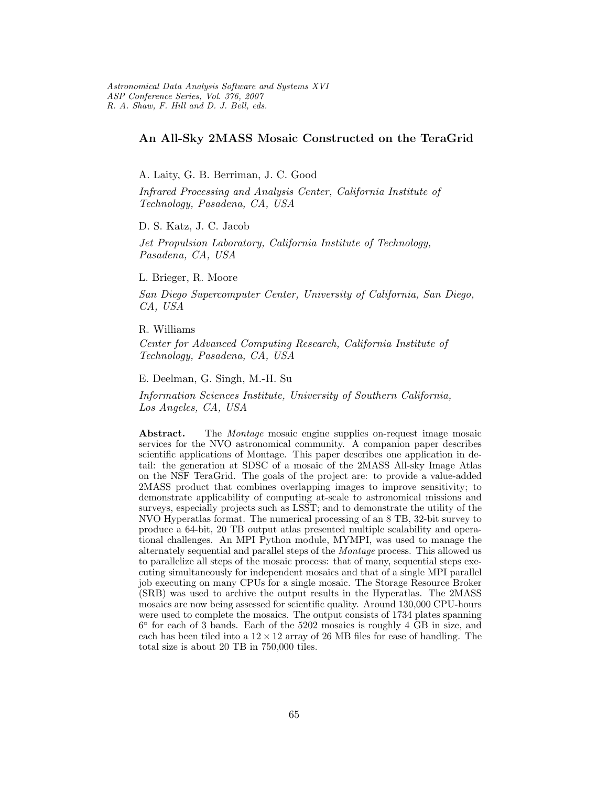## An All-Sky 2MASS Mosaic Constructed on the TeraGrid

A. Laity, G. B. Berriman, J. C. Good

Infrared Processing and Analysis Center, California Institute of Technology, Pasadena, CA, USA

D. S. Katz, J. C. Jacob

Jet Propulsion Laboratory, California Institute of Technology, Pasadena, CA, USA

L. Brieger, R. Moore

San Diego Supercomputer Center, University of California, San Diego, CA, USA

R. Williams

Center for Advanced Computing Research, California Institute of Technology, Pasadena, CA, USA

E. Deelman, G. Singh, M.-H. Su

Information Sciences Institute, University of Southern California, Los Angeles, CA, USA

Abstract. The *Montage* mosaic engine supplies on-request image mosaic services for the NVO astronomical community. A companion paper describes scientific applications of Montage. This paper describes one application in detail: the generation at SDSC of a mosaic of the 2MASS All-sky Image Atlas on the NSF TeraGrid. The goals of the project are: to provide a value-added 2MASS product that combines overlapping images to improve sensitivity; to demonstrate applicability of computing at-scale to astronomical missions and surveys, especially projects such as LSST; and to demonstrate the utility of the NVO Hyperatlas format. The numerical processing of an 8 TB, 32-bit survey to produce a 64-bit, 20 TB output atlas presented multiple scalability and operational challenges. An MPI Python module, MYMPI, was used to manage the alternately sequential and parallel steps of the Montage process. This allowed us to parallelize all steps of the mosaic process: that of many, sequential steps executing simultaneously for independent mosaics and that of a single MPI parallel job executing on many CPUs for a single mosaic. The Storage Resource Broker (SRB) was used to archive the output results in the Hyperatlas. The 2MASS mosaics are now being assessed for scientific quality. Around 130,000 CPU-hours were used to complete the mosaics. The output consists of 1734 plates spanning 6 ◦ for each of 3 bands. Each of the 5202 mosaics is roughly 4 GB in size, and each has been tiled into a  $12 \times 12$  array of 26 MB files for ease of handling. The total size is about 20 TB in 750,000 tiles.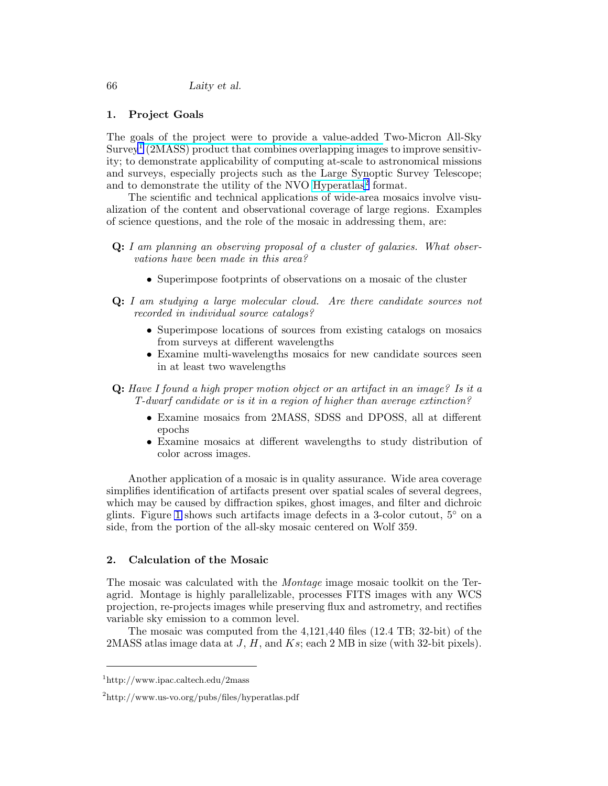## 1. Project Goals

The goals of the project were to provide a value-added Two-Micron All-Sky Survey<sup>1</sup> (2MASS) product that combines overlapping images to improve sensitivity; to demonstrate applicability of computing at-scale to astronomical missions and surveys, especially projects such as the Large Synoptic Survey Telescope; and to demonstrate the utility of the NVO [Hyperatlas](http://www.us-vo.org/pubs/files/hyperatlas.pdf)<sup>2</sup> format.

The scientific and technical applications of wide-area mosaics involve visualization of the content and observational coverage of large regions. Examples of science questions, and the role of the mosaic in addressing them, are:

- Q: I am planning an observing proposal of a cluster of galaxies. What observations have been made in this area?
	- Superimpose footprints of observations on a mosaic of the cluster
- Q: I am studying a large molecular cloud. Are there candidate sources not recorded in individual source catalogs?
	- Superimpose locations of sources from existing catalogs on mosaics from surveys at different wavelengths
	- Examine multi-wavelengths mosaics for new candidate sources seen in at least two wavelengths

Q: Have I found a high proper motion object or an artifact in an image? Is it a T-dwarf candidate or is it in a region of higher than average extinction?

- Examine mosaics from 2MASS, SDSS and DPOSS, all at different epochs
- Examine mosaics at different wavelengths to study distribution of color across images.

Another application of a mosaic is in quality assurance. Wide area coverage simplifies identification of artifacts present over spatial scales of several degrees, which may be caused by diffraction spikes, ghost images, and filter and dichroic glints. Figure 1 shows such artifacts image defects in a 3-color cutout,  $5°$  on a side, from the portion of the all-sky mosaic centered on Wolf 359.

## 2. Calculation of the Mosaic

The mosaic was calculated with the Montage image mosaic toolkit on the Teragrid. Montage is highly parallelizable, processes FITS images with any WCS projection, re-projects images while preserving flux and astrometry, and rectifies variable sky emission to a common level.

The mosaic was computed from the 4,121,440 files (12.4 TB; 32-bit) of the 2MASS atlas image data at  $J, H$ , and  $Ks$ ; each 2 MB in size (with 32-bit pixels).

<sup>1</sup>http://www.ipac.caltech.edu/2mass

<sup>2</sup>http://www.us-vo.org/pubs/files/hyperatlas.pdf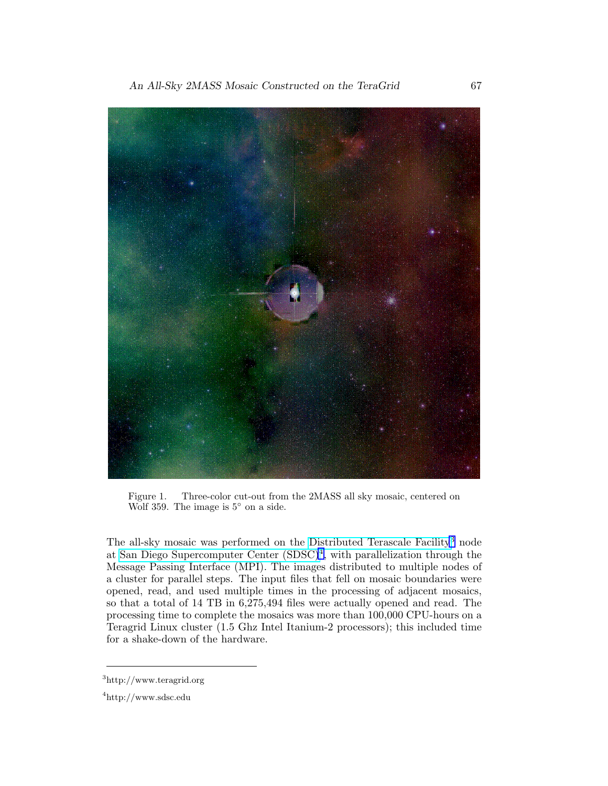An All-Sky 2MASS Mosaic Constructed on the TeraGrid 67



Figure 1. Three-color cut-out from the 2MASS all sky mosaic, centered on Wolf 359. The image is 5◦ on a side.

The all-sky mosaic was performed on the [Distributed Terascale Facility](http://www.teragrid.org)<sup>3</sup> node at [San Diego Supercomputer Center \(SDSC\)](http://www.sdsc.edu)<sup>4</sup> , with parallelization through the Message Passing Interface (MPI). The images distributed to multiple nodes of a cluster for parallel steps. The input files that fell on mosaic boundaries were opened, read, and used multiple times in the processing of adjacent mosaics, so that a total of 14 TB in 6,275,494 files were actually opened and read. The processing time to complete the mosaics was more than 100,000 CPU-hours on a Teragrid Linux cluster (1.5 Ghz Intel Itanium-2 processors); this included time for a shake-down of the hardware.

<sup>3</sup>http://www.teragrid.org

<sup>4</sup>http://www.sdsc.edu